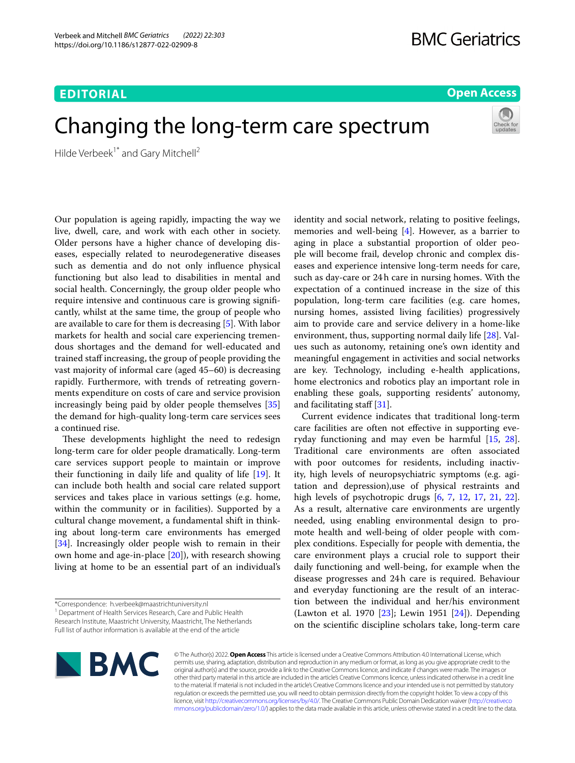# **EDITORIAL**

# **Open Access**

# Changing the long-term care spectrum



Hilde Verbeek<sup>1\*</sup> and Gary Mitchell<sup>2</sup>

Our population is ageing rapidly, impacting the way we live, dwell, care, and work with each other in society. Older persons have a higher chance of developing diseases, especially related to neurodegenerative diseases such as dementia and do not only infuence physical functioning but also lead to disabilities in mental and social health. Concerningly, the group older people who require intensive and continuous care is growing signifcantly, whilst at the same time, the group of people who are available to care for them is decreasing [[5\]](#page-2-0). With labor markets for health and social care experiencing tremendous shortages and the demand for well-educated and trained staf increasing, the group of people providing the vast majority of informal care (aged 45–60) is decreasing rapidly. Furthermore, with trends of retreating governments expenditure on costs of care and service provision increasingly being paid by older people themselves [[35](#page-2-1)] the demand for high-quality long-term care services sees a continued rise.

These developments highlight the need to redesign long-term care for older people dramatically. Long-term care services support people to maintain or improve their functioning in daily life and quality of life [\[19\]](#page-2-2). It can include both health and social care related support services and takes place in various settings (e.g. home, within the community or in facilities). Supported by a cultural change movement, a fundamental shift in thinking about long-term care environments has emerged [[34\]](#page-2-3). Increasingly older people wish to remain in their own home and age-in-place [[20\]](#page-2-4)), with research showing living at home to be an essential part of an individual's

\*Correspondence: h.verbeek@maastrichtuniversity.nl

<sup>1</sup> Department of Health Services Research, Care and Public Health Research Institute, Maastricht University, Maastricht, The Netherlands Full list of author information is available at the end of the article

identity and social network, relating to positive feelings, memories and well-being [\[4](#page-2-5)]. However, as a barrier to aging in place a substantial proportion of older people will become frail, develop chronic and complex diseases and experience intensive long-term needs for care, such as day-care or 24h care in nursing homes. With the expectation of a continued increase in the size of this population, long-term care facilities (e.g. care homes, nursing homes, assisted living facilities) progressively aim to provide care and service delivery in a home-like environment, thus, supporting normal daily life [\[28\]](#page-2-6). Values such as autonomy, retaining one's own identity and meaningful engagement in activities and social networks are key. Technology, including e-health applications, home electronics and robotics play an important role in enabling these goals, supporting residents' autonomy, and facilitating staff [[31\]](#page-2-7).

Current evidence indicates that traditional long-term care facilities are often not efective in supporting everyday functioning and may even be harmful [\[15](#page-2-8), [28](#page-2-6)]. Traditional care environments are often associated with poor outcomes for residents, including inactivity, high levels of neuropsychiatric symptoms (e.g. agitation and depression),use of physical restraints and high levels of psychotropic drugs [[6,](#page-2-9) [7,](#page-2-10) [12,](#page-2-11) [17](#page-2-12), [21](#page-2-13), [22](#page-2-14)]. As a result, alternative care environments are urgently needed, using enabling environmental design to promote health and well-being of older people with complex conditions. Especially for people with dementia, the care environment plays a crucial role to support their daily functioning and well-being, for example when the disease progresses and 24h care is required. Behaviour and everyday functioning are the result of an interaction between the individual and her/his environment (Lawton et al. 1970 [\[23\]](#page-2-15); Lewin 1951 [[24\]](#page-2-16)). Depending on the scientifc discipline scholars take, long-term care



© The Author(s) 2022. **Open Access** This article is licensed under a Creative Commons Attribution 4.0 International License, which permits use, sharing, adaptation, distribution and reproduction in any medium or format, as long as you give appropriate credit to the original author(s) and the source, provide a link to the Creative Commons licence, and indicate if changes were made. The images or other third party material in this article are included in the article's Creative Commons licence, unless indicated otherwise in a credit line to the material. If material is not included in the article's Creative Commons licence and your intended use is not permitted by statutory regulation or exceeds the permitted use, you will need to obtain permission directly from the copyright holder. To view a copy of this licence, visit [http://creativecommons.org/licenses/by/4.0/.](http://creativecommons.org/licenses/by/4.0/) The Creative Commons Public Domain Dedication waiver ([http://creativeco](http://creativecommons.org/publicdomain/zero/1.0/) [mmons.org/publicdomain/zero/1.0/](http://creativecommons.org/publicdomain/zero/1.0/)) applies to the data made available in this article, unless otherwise stated in a credit line to the data.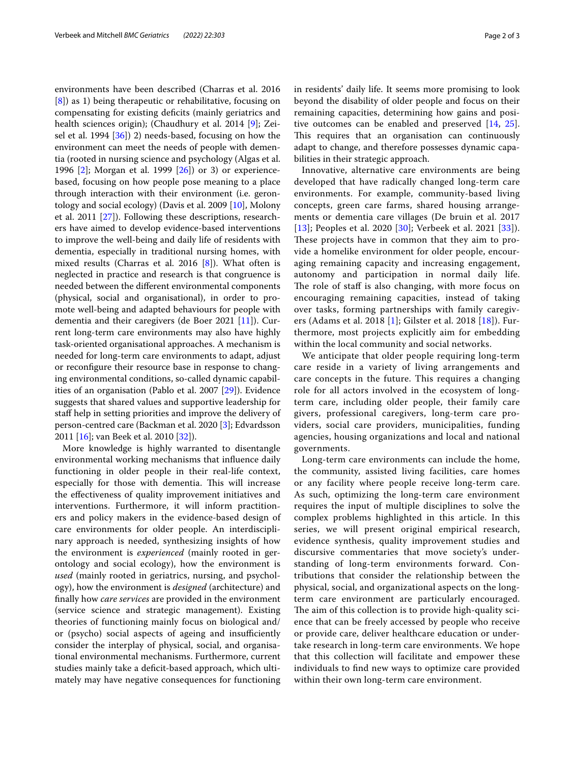environments have been described (Charras et al. 2016 [[8\]](#page-2-17)) as 1) being therapeutic or rehabilitative, focusing on compensating for existing defcits (mainly geriatrics and health sciences origin); (Chaudhury et al. 2014 [[9\]](#page-2-18); Zeisel et al. 1994 [\[36](#page-2-19)]) 2) needs-based, focusing on how the environment can meet the needs of people with dementia (rooted in nursing science and psychology (Algas et al. 1996 [\[2](#page-2-20)]; Morgan et al. 1999 [\[26](#page-2-21)]) or 3) or experiencebased, focusing on how people pose meaning to a place through interaction with their environment (i.e. gerontology and social ecology) (Davis et al. 2009 [[10\]](#page-2-22), Molony et al. 2011 [[27](#page-2-23)]). Following these descriptions, researchers have aimed to develop evidence-based interventions to improve the well-being and daily life of residents with dementia, especially in traditional nursing homes, with mixed results (Charras et al. 2016 [\[8](#page-2-17)]). What often is neglected in practice and research is that congruence is needed between the diferent environmental components (physical, social and organisational), in order to promote well-being and adapted behaviours for people with dementia and their caregivers (de Boer 2021 [[11\]](#page-2-24)). Current long-term care environments may also have highly task-oriented organisational approaches. A mechanism is needed for long-term care environments to adapt, adjust or reconfgure their resource base in response to changing environmental conditions, so-called dynamic capabilities of an organisation (Pablo et al. 2007 [\[29](#page-2-25)]). Evidence suggests that shared values and supportive leadership for staf help in setting priorities and improve the delivery of person-centred care (Backman et al. 2020 [[3\]](#page-2-26); Edvardsson 2011 [[16\]](#page-2-27); van Beek et al. 2010 [\[32](#page-2-28)]).

More knowledge is highly warranted to disentangle environmental working mechanisms that infuence daily functioning in older people in their real-life context, especially for those with dementia. This will increase the efectiveness of quality improvement initiatives and interventions. Furthermore, it will inform practitioners and policy makers in the evidence-based design of care environments for older people. An interdisciplinary approach is needed, synthesizing insights of how the environment is *experienced* (mainly rooted in gerontology and social ecology), how the environment is *used* (mainly rooted in geriatrics, nursing, and psychology), how the environment is *designed* (architecture) and fnally how *care services* are provided in the environment (service science and strategic management). Existing theories of functioning mainly focus on biological and/ or (psycho) social aspects of ageing and insufficiently consider the interplay of physical, social, and organisational environmental mechanisms. Furthermore, current studies mainly take a deficit-based approach, which ultimately may have negative consequences for functioning in residents' daily life. It seems more promising to look beyond the disability of older people and focus on their remaining capacities, determining how gains and positive outcomes can be enabled and preserved [[14](#page-2-29), [25](#page-2-30)]. This requires that an organisation can continuously adapt to change, and therefore possesses dynamic capabilities in their strategic approach.

Innovative, alternative care environments are being developed that have radically changed long-term care environments. For example, community-based living concepts, green care farms, shared housing arrangements or dementia care villages (De bruin et al. 2017 [[13](#page-2-31)]; Peoples et al. 2020 [[30\]](#page-2-32); Verbeek et al. 2021 [[33\]](#page-2-33)). These projects have in common that they aim to provide a homelike environment for older people, encouraging remaining capacity and increasing engagement, autonomy and participation in normal daily life. The role of staff is also changing, with more focus on encouraging remaining capacities, instead of taking over tasks, forming partnerships with family caregivers (Adams et al. 2018 [[1\]](#page-2-34); Gilster et al. 2018 [[18](#page-2-35)]). Furthermore, most projects explicitly aim for embedding within the local community and social networks.

We anticipate that older people requiring long-term care reside in a variety of living arrangements and care concepts in the future. This requires a changing role for all actors involved in the ecosystem of longterm care, including older people, their family care givers, professional caregivers, long-term care providers, social care providers, municipalities, funding agencies, housing organizations and local and national governments.

Long-term care environments can include the home, the community, assisted living facilities, care homes or any facility where people receive long-term care. As such, optimizing the long-term care environment requires the input of multiple disciplines to solve the complex problems highlighted in this article. In this series, we will present original empirical research, evidence synthesis, quality improvement studies and discursive commentaries that move society's understanding of long-term environments forward. Contributions that consider the relationship between the physical, social, and organizational aspects on the longterm care environment are particularly encouraged. The aim of this collection is to provide high-quality science that can be freely accessed by people who receive or provide care, deliver healthcare education or undertake research in long-term care environments. We hope that this collection will facilitate and empower these individuals to fnd new ways to optimize care provided within their own long-term care environment.